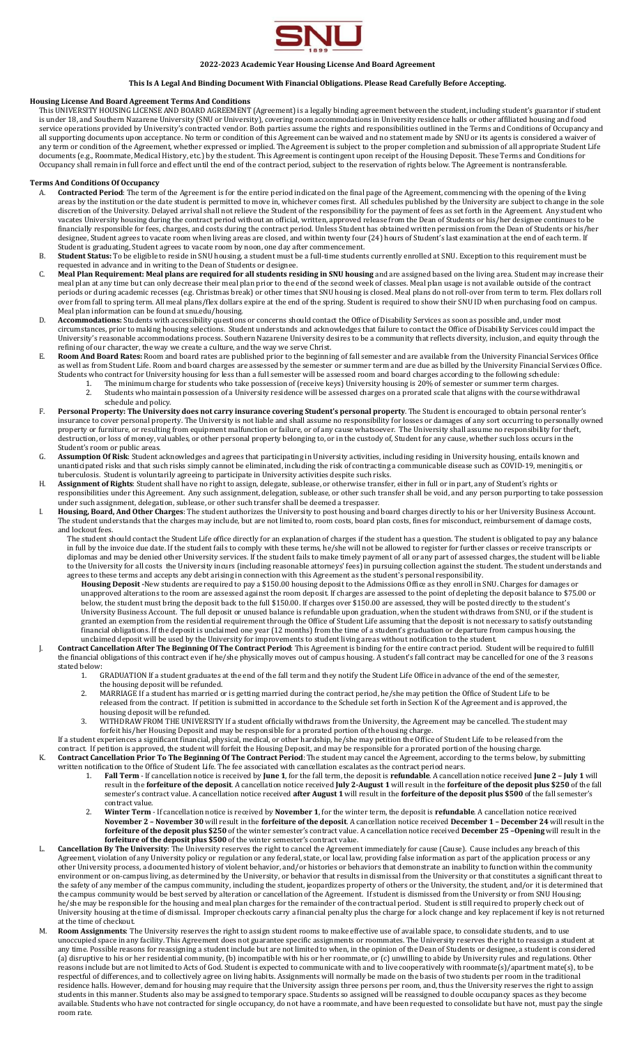

#### **2022-2023 Academic Year Housing License And Board Agreement**

## **This Is A Legal And Binding Document With Financial Obligations. Please Read Carefully Before Accepting.**

#### **Housing License And Board Agreement Terms And Conditions**

This UNIVERSITY HOUSING LICENSE AND BOARD AGREEMENT (Agreement) is a legally binding agreement between the student, including student's guarantor if student is under 18, and Southern Nazarene University (SNU or University), covering room accommodations in University residence halls or other affiliated housing and food service operations provided by University's contracted vendor. Both parties assume the rights and responsibilities outlined in the Terms and Conditions of Occupancy and all supporting documents upon acceptance. No term or condition of this Agreement can be waived and no statement made by SNU or its agents is considered a waiver of any term or condition of the Agreement, whether expressed or implied. The Agreement is subject to the proper completion and submission of all appropriate Student Life documents (e.g., Roommate, Medical History, etc.) by the student. This Agreement is contingent upon receipt of the Housing Deposit. These Terms and Conditions for Occupancy shall remain in full force and effect until the end of the contract period, subject to the reservation of rights below. The Agreement is nontransferable.

### **Terms And Conditions Of Occupancy**

- A. **Contracted Period**: The term of the Agreement is for the entire period indicated on the final page of the Agreement, commencing with the opening of the living areas by the institution or the date student is permitted to move in, whichever comes first. All schedules published by the University are subject to change in the sole discretion of the University. Delayed arrival shall not relieve the Student of the responsibility for the payment of fees as set forth in the Agreement. Any student who vacates University housing during the contract period without an official, written, approved release from the Dean of Students or his/her designee continues to be financially responsible for fees, charges, and costs during the contract period. Unless Student has obtained written permission from the Dean of Students or his/her designee, Student agrees to vacate room when living areas are closed, and within twenty four (24) hours of Student's last examination at the end of each term. If Student is graduating, Student agrees to vacate room by noon, one day after commencement.
- B. **Student Status:** To be eligible to reside in SNU housing, a student must be a full-time students currently enrolled at SNU. Exception to this requirement must be requested in advance and in writing to the Dean of Students or designee.
- C. **Meal Plan Requirement: Meal plans are required for all students residing in SNU housing** and are assigned based on the living area. Student may increase their meal plan at any time but can only decrease their meal plan prior to the end of the second week of classes. Meal plan usage is not available outside of the contract periods or during academic recesses (e.g. Christmas break) or other times that SNU housing is closed. Meal plans do not roll-over from term to term. Flex dollars roll over from fall to spring term. All meal plans/flex dollars expire at the end of the spring. Student is required to show their SNU ID when purchasing food on campus. Meal plan information can be found at snu.edu/housing.
- D. **Accommodations:** Students with accessibility questions or concerns should contact the Office of Disability Services as soon as possible and, under most circumstances, prior to making housing selections. Student understands and acknowledges that failure to contact the Office of Disability Services could impact the University's reasonable accommodations process. Southern Nazarene University desires to be a community that reflects diversity, inclusion, and equity through the refining of our character, the way we create a culture, and the way we serve Christ.
- E. **Room And Board Rates:** Room and board rates are published prior to the beginning of fall semester and are available from the University Financial Services Office as well as from Student Life. Room and board charges are assessed by the semester or summer term and are due as billed by the University Financial Services Office. Students who contract for University housing for less than a full semester will be assessed room and board charges according to the following schedule:
	- 1. The minimum charge for students who take possession of (receive keys) University housing is 20% of semester or summer term charges. 2. Students who maintain possession of a University residence will be assessed charges on a prorated scale that aligns with the course withdrawal
- schedule and policy. F. **Personal Property: The University does not carry insurance covering Student's personal property**. The Student is encouraged to obtain personal renter's insurance to cover personal property. The University is not liable and shall assume no responsibility for losses or damages of any sort occurring to personally owned property or furniture, or resulting from equipment malfunction or failure, or of any cause whatsoever. The University shall assume no responsibility for theft, destruction, or loss of money, valuables, or other personal property belonging to, or in the custody of, Student for any cause, whether such loss occurs in the Student's room or public areas.
- G. **Assumption Of Risk**: Student acknowledges and agrees that participating in University activities, including residing in University housing, entails known and unanticipated risks and that such risks simply cannot be eliminated, including the risk of contracting a communicable disease such as COVID-19, meningitis, or tuberculosis. Student is voluntarily agreeing to participate in University activities despite such risks.
- H. **Assignment of Rights**: Student shall have no right to assign, delegate, sublease, or otherwise transfer, either in full or in part, any of Student's rights or responsibilities under this Agreement. Any such assignment, delegation, sublease, or other such transfer shall be void, and any person purporting to take possession under such assignment, delegation, sublease, or other such transfer shall be deemed a trespasser.
- I. **Housing, Board, And Other Charges**: The student authorizes the University to post housing and board charges directly to his or her University Business Account. The student understands that the charges may include, but are not limited to, room costs, board plan costs, fines for misconduct, reimbursement of damage costs, and lockout fees.
	- The student should contact the Student Life office directly for an explanation of charges if the student has a question. The student is obligated to pay any balance in full by the invoice due date. If the student fails to comply with these terms, he/she will not be allowed to register for further classes or receive transcripts or diplomas and may be denied other University services. If the student fails to make timely payment of all or any part of assessed charges, the student will be liable to the University for all costs the University incurs (including reasonable attorneys' fees) in pursuing collection against the student. The student understands and agrees to these terms and accepts any debt arising in connection with this Agreement as the student's personal responsibility.
	- **Housing Deposit -**New students are required to pay a \$150.00 housing deposit to the Admissions Office as they enroll in SNU. Charges for damages or unapproved alterations to the room are assessed against the room deposit. If charges are assessed to the point of depleting the deposit balance to \$75.00 or below, the student must bring the deposit back to the full \$150.00. If charges over \$150.00 are assessed, they will be posted directly to the student's University Business Account. The full deposit or unused balance is refundable upon graduation, when the student withdraws from SNU, or if the student is granted an exemption from the residential requirement through the Office of Student Life assuming that the deposit is not necessary to satisfy outstanding financial obligations. If the deposit is unclaimed one year (12 months) from the time of a student's graduation or departure from campus housing, the unclaimed deposit will be used by the University for improvements to student living areas without notification to the student.
- J. **Contract Cancellation After The Beginning Of The Contract Period**: This Agreement is binding for the entire contract period. Student will be required to fulfill the financial obligations of this contract even if he/she physically moves out of campus housing. A student's fall contract may be cancelled for one of the 3 reasons stated below:<br>1.
	- 1. GRADUATION If a student graduates at the end of the fall term and they notify the Student Life Office in advance of the end of the semester, the housing deposit will be refunded.
	- 2. MARRIAGE If a student has married or is getting married during the contract period, he/she may petition the Office of Student Life to be released from the contract. If petition is submitted in accordance to the Schedule set forth in Section K of the Agreement and is approved, the housing deposit will be refunded.
	- 3. WITHDRAW FROM THE UNIVERSITY If a student officially withdraws from the University, the Agreement may be cancelled. The student may forfeit his/her Housing Deposit and may be responsible for a prorated portion of the housing charge.

If a student experiences a significant financial, physical, medical, or other hardship, he/she may petition the Office of Student Life to be released from the contract. If petition is approved, the student will forfeit the Housing Deposit, and may be responsible for a prorated portion of the housing charge. K. **Contract Cancellation Prior To The Beginning Of The Contract Period**: The student may cancel the Agreement, according to the terms below, by submitting

- written notification to the Office of Student Life. The fee associated with cancellation escalates as the contract period nears. 1. **Fall Term** - If cancellation notice is received by **June 1**, for the fall term, the deposit is **refundable**. A cancellation notice received **June 2 – July 1** will result in the **forfeiture of the deposit**. A cancellation notice received **July 2-August 1** will result in the **forfeiture of the deposit plus \$250** of the fall semester's contract value. A cancellation notice received **after August 1** will result in the **forfeiture of the deposit plus \$500** of the fall semester's contract value.
	- 2. **Winter Term** If cancellation notice is received by **November 1**, for the winter term, the deposit is **refundable**. A cancellation notice received **November 2 – November 30** will result in the **forfeiture of the deposit**. A cancellation notice received **December 1 – December 24** will result in the **forfeiture of the deposit plus \$250** of the winter semester's contract value. A cancellation notice received **December 25 –Opening** will result in the **forfeiture of the deposit plus \$500** of the winter semester's contract value.
- L. **Cancellation By The University**: The University reserves the right to cancel the Agreement immediately for cause (Cause). Cause includes any breach of this Agreement, violation of any University policy or regulation or any federal, state, or local law, providing false information as part of the application process or any other University process, a documented history of violent behavior, and/or histories or behaviors that demonstrate an inability to function within the community environment or on-campus living, as determined by the University, or behavior that results in dismissal from the University or that constitutes a significant threat to the safety of any member of the campus community, including the student, jeopardizes property of others or the University, the student, and/or it is determined that the campus community would be best served by alteration or cancellation of the Agreement. If student is dismissed from the University or from SNU Housing; he/she may be responsible for the housing and meal plan charges for the remainder of the contractual period. Student is still required to properly check out of University housing at the time of dismissal. Improper checkouts carry a financial penalty plus the charge for a lock change and key replacement if key is not returned at the time of checkout.
- M. **Room Assignments**: The University reserves the right to assign student rooms to make effective use of available space, to consolidate students, and to use unoccupied space in any facility. This Agreement does not guarantee specific assignments or roommates. The University reserves the right to reassign a student at any time. Possible reasons for reassigning a student include but are not limited to when, in the opinion of the Dean of Students or designee, a student is considered (a) disruptive to his or her residential community, (b) incompatible with his or her roommate, or (c) unwilling to abide by University rules and regulations. Other reasons include but are not limited to Acts of God. Student is expected to communicate with and to live cooperatively with roommate(s)/apartment mate(s), to be respectful of differences, and to collectively agree on living habits. Assignments will normally be made on the basis of two students per room in the traditional residence halls. However, demand for housing may require that the University assign three persons per room, and, thus the University reserves the right to assign students in this manner. Students also may be assigned to temporary space. Students so assigned will be reassigned to double occupancy spaces as they become available. Students who have not contracted for single occupancy, do not have a roommate, and have been requested to consolidate but have not, must pay the single room rate.